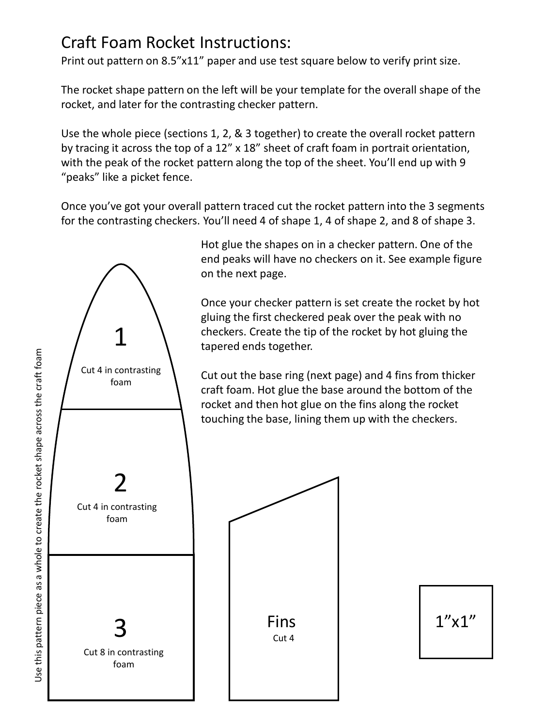## Craft Foam Rocket Instructions:

Print out pattern on 8.5"x11" paper and use test square below to verify print size.

The rocket shape pattern on the left will be your template for the overall shape of the rocket, and later for the contrasting checker pattern.

Use the whole piece (sections 1, 2, & 3 together) to create the overall rocket pattern by tracing it across the top of a 12" x 18" sheet of craft foam in portrait orientation, with the peak of the rocket pattern along the top of the sheet. You'll end up with 9 "peaks" like a picket fence.

Once you've got your overall pattern traced cut the rocket pattern into the 3 segments for the contrasting checkers. You'll need 4 of shape 1, 4 of shape 2, and 8 of shape 3.



Hot glue the shapes on in a checker pattern. One of the end peaks will have no checkers on it. See example figure on the next page.

Once your checker pattern is set create the rocket by hot gluing the first checkered peak over the peak with no checkers. Create the tip of the rocket by hot gluing the tapered ends together.

Cut out the base ring (next page) and 4 fins from thicker craft foam. Hot glue the base around the bottom of the rocket and then hot glue on the fins along the rocket touching the base, lining them up with the checkers.



 $1''x1''$